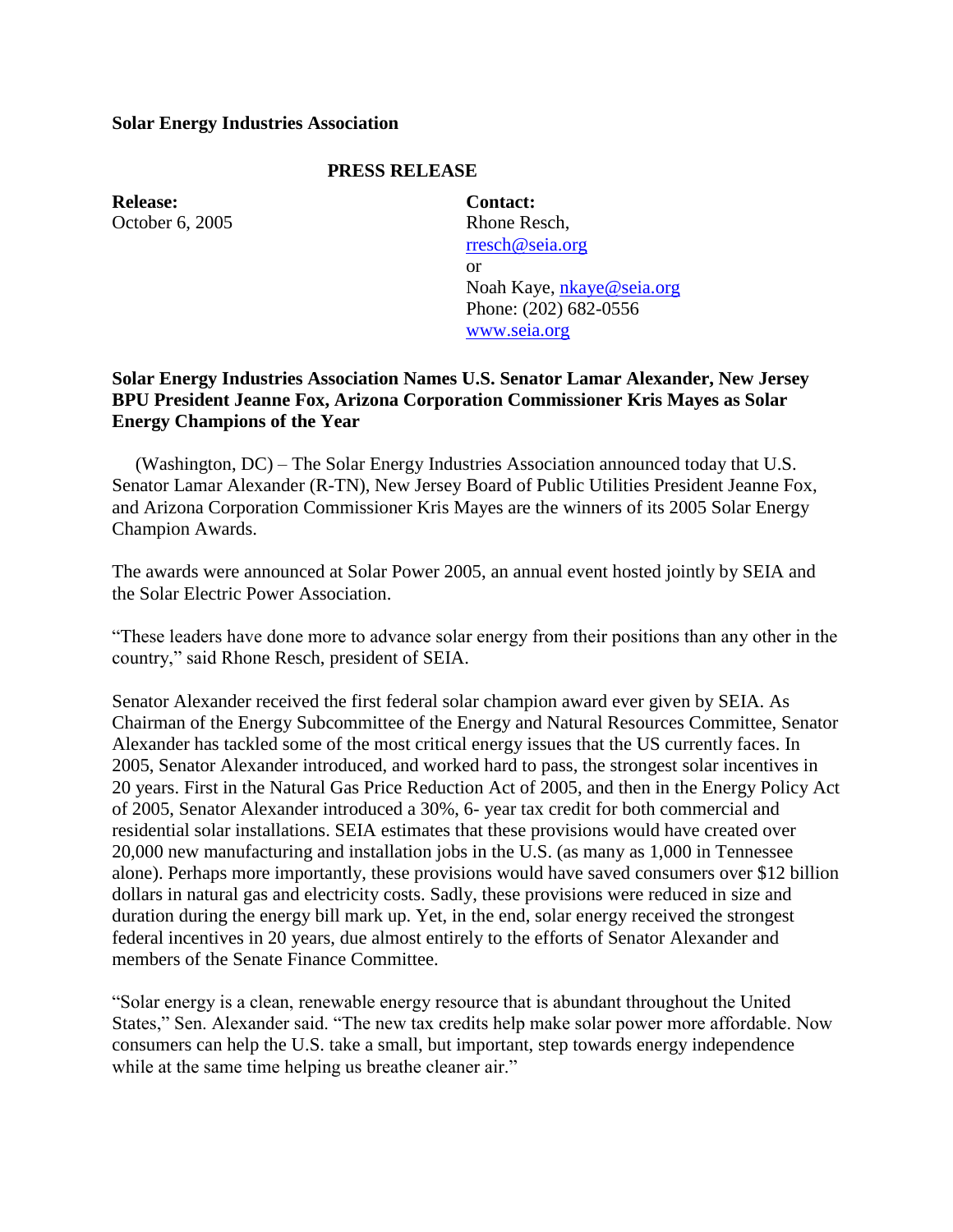## **Solar Energy Industries Association**

## **PRESS RELEASE**

**Release:** October 6, 2005

**Contact:** Rhone Resch, [rresch@seia.org](mailto:rresch@seia.org) or Noah Kaye, [nkaye@seia.org](mailto:nkaye@seia.org) Phone: (202) 682-0556 [www.seia.org](http://www.seia.org/)

## **Solar Energy Industries Association Names U.S. Senator Lamar Alexander, New Jersey BPU President Jeanne Fox, Arizona Corporation Commissioner Kris Mayes as Solar Energy Champions of the Year**

 (Washington, DC) – The Solar Energy Industries Association announced today that U.S. Senator Lamar Alexander (R-TN), New Jersey Board of Public Utilities President Jeanne Fox, and Arizona Corporation Commissioner Kris Mayes are the winners of its 2005 Solar Energy Champion Awards.

The awards were announced at Solar Power 2005, an annual event hosted jointly by SEIA and the Solar Electric Power Association.

"These leaders have done more to advance solar energy from their positions than any other in the country," said Rhone Resch, president of SEIA.

Senator Alexander received the first federal solar champion award ever given by SEIA. As Chairman of the Energy Subcommittee of the Energy and Natural Resources Committee, Senator Alexander has tackled some of the most critical energy issues that the US currently faces. In 2005, Senator Alexander introduced, and worked hard to pass, the strongest solar incentives in 20 years. First in the Natural Gas Price Reduction Act of 2005, and then in the Energy Policy Act of 2005, Senator Alexander introduced a 30%, 6- year tax credit for both commercial and residential solar installations. SEIA estimates that these provisions would have created over 20,000 new manufacturing and installation jobs in the U.S. (as many as 1,000 in Tennessee alone). Perhaps more importantly, these provisions would have saved consumers over \$12 billion dollars in natural gas and electricity costs. Sadly, these provisions were reduced in size and duration during the energy bill mark up. Yet, in the end, solar energy received the strongest federal incentives in 20 years, due almost entirely to the efforts of Senator Alexander and members of the Senate Finance Committee.

"Solar energy is a clean, renewable energy resource that is abundant throughout the United States," Sen. Alexander said. "The new tax credits help make solar power more affordable. Now consumers can help the U.S. take a small, but important, step towards energy independence while at the same time helping us breathe cleaner air."